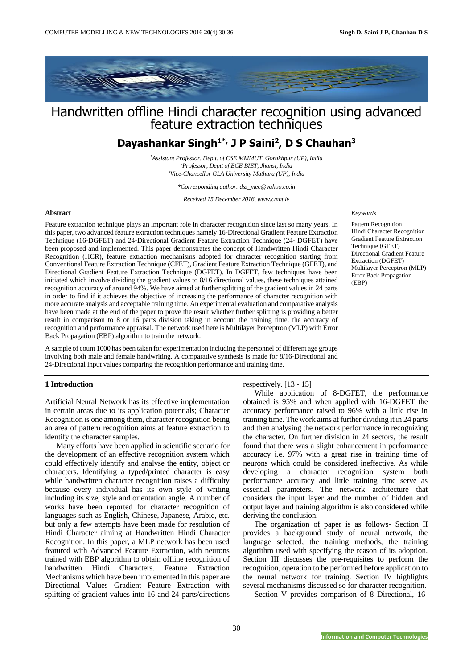

# Handwritten offline Hindi character recognition using advanced feature extraction techniques

# **Dayashankar Singh1\*, J P Saini<sup>2</sup> , D S Chauhan<sup>3</sup>**

*<sup>1</sup>Assistant Professor, Deptt. of CSE MMMUT, Gorakhpur (UP), India <sup>2</sup>Professor, Deptt of ECE BIET, Jhansi, India <sup>3</sup>Vice-Chancellor GLA University Mathura (UP), India*

*\*Corresponding author: dss\_mec@yahoo.co.in*

*Received 15 December 2016, www.cmnt.lv*

# **Abstract**

Feature extraction technique plays an important role in character recognition since last so many years. In this paper, two advanced feature extraction techniques namely 16-Directional Gradient Feature Extraction Technique (16-DGFET) and 24-Directional Gradient Feature Extraction Technique (24- DGFET) have been proposed and implemented. This paper demonstrates the concept of Handwritten Hindi Character Recognition (HCR), feature extraction mechanisms adopted for character recognition starting from Conventional Feature Extraction Technique (CFET), Gradient Feature Extraction Technique (GFET), and Directional Gradient Feature Extraction Technique (DGFET). In DGFET, few techniques have been initiated which involve dividing the gradient values to 8/16 directional values, these techniques attained recognition accuracy of around 94%. We have aimed at further splitting of the gradient values in 24 parts in order to find if it achieves the objective of increasing the performance of character recognition with more accurate analysis and acceptable training time. An experimental evaluation and comparative analysis have been made at the end of the paper to prove the result whether further splitting is providing a better result in comparison to 8 or 16 parts division taking in account the training time, the accuracy of recognition and performance appraisal. The network used here is Multilayer Perceptron (MLP) with Error Back Propagation (EBP) algorithm to train the network.

A sample of count 1000 has been taken for experimentation including the personnel of different age groups involving both male and female handwriting. A comparative synthesis is made for 8/16-Directional and 24-Directional input values comparing the recognition performance and training time.

# **1 Introduction**

Artificial Neural Network has its effective implementation in certain areas due to its application potentials; Character Recognition is one among them, character recognition being an area of pattern recognition aims at feature extraction to identify the character samples.

Many efforts have been applied in scientific scenario for the development of an effective recognition system which could effectively identify and analyse the entity, object or characters. Identifying a typed/printed character is easy while handwritten character recognition raises a difficulty because every individual has its own style of writing including its size, style and orientation angle. A number of works have been reported for character recognition of languages such as English, Chinese, Japanese, Arabic, etc. but only a few attempts have been made for resolution of Hindi Character aiming at Handwritten Hindi Character Recognition. In this paper, a MLP network has been used featured with Advanced Feature Extraction, with neurons trained with EBP algorithm to obtain offline recognition of handwritten Hindi Characters. Feature Extraction Mechanisms which have been implemented in this paper are Directional Values Gradient Feature Extraction with splitting of gradient values into 16 and 24 parts/directions

Directional Gradient Feature Extraction (DGFET)

*Keywords*

Multilayer Perceptron (MLP) Error Back Propagation (EBP)

Pattern Recognition Hindi Character Recognition Gradient Feature Extraction Technique (GFET)

respectively. [13 - 15]

While application of 8-DGFET, the performance obtained is 95% and when applied with 16-DGFET the accuracy performance raised to 96% with a little rise in training time. The work aims at further dividing it in 24 parts and then analysing the network performance in recognizing the character. On further division in 24 sectors, the result found that there was a slight enhancement in performance accuracy i.e. 97% with a great rise in training time of neurons which could be considered ineffective. As while developing a character recognition system both performance accuracy and little training time serve as essential parameters. The network architecture that considers the input layer and the number of hidden and output layer and training algorithm is also considered while deriving the conclusion.

The organization of paper is as follows- Section II provides a background study of neural network, the language selected, the training methods, the training algorithm used with specifying the reason of its adoption. Section III discusses the pre-requisites to perform the recognition, operation to be performed before application to the neural network for training. Section IV highlights several mechanisms discussed so for character recognition.

Section V provides comparison of 8 Directional, 16-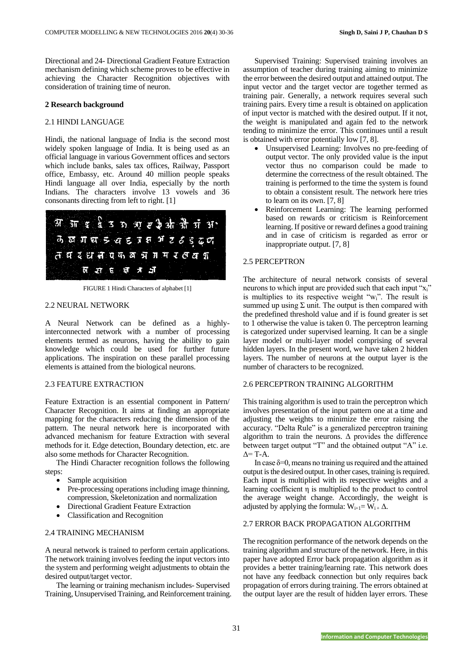Directional and 24- Directional Gradient Feature Extraction mechanism defining which scheme proves to be effective in achieving the Character Recognition objectives with consideration of training time of neuron.

#### **2 Research background**

# 2.1 HINDI LANGUAGE

Hindi, the national language of India is the second most widely spoken language of India. It is being used as an official language in various Government offices and sectors which include banks, sales tax offices, Railway, Passport office, Embassy, etc. Around 40 million people speaks Hindi language all over India, especially by the north Indians. The characters involve 13 vowels and 36 consonants directing from left to right. [1]



FIGURE 1 Hindi Characters of alphabet [1]

# 2.2 NEURAL NETWORK

A Neural Network can be defined as a highlyinterconnected network with a number of processing elements termed as neurons, having the ability to gain knowledge which could be used for further future applications. The inspiration on these parallel processing elements is attained from the biological neurons.

# 2.3 FEATURE EXTRACTION

Feature Extraction is an essential component in Pattern/ Character Recognition. It aims at finding an appropriate mapping for the characters reducing the dimension of the pattern. The neural network here is incorporated with advanced mechanism for feature Extraction with several methods for it. Edge detection, Boundary detection, etc. are also some methods for Character Recognition.

The Hindi Character recognition follows the following steps:

- Sample acquisition
- Pre-processing operations including image thinning, compression, Skeletonization and normalization
- Directional Gradient Feature Extraction
- Classification and Recognition

# 2.4 TRAINING MECHANISM

A neural network is trained to perform certain applications. The network training involves feeding the input vectors into the system and performing weight adjustments to obtain the desired output/target vector.

The learning or training mechanism includes- Supervised Training, Unsupervised Training, and Reinforcement training.

Supervised Training: Supervised training involves an assumption of teacher during training aiming to minimize the error between the desired output and attained output. The input vector and the target vector are together termed as training pair. Generally, a network requires several such training pairs. Every time a result is obtained on application of input vector is matched with the desired output. If it not, the weight is manipulated and again fed to the network tending to minimize the error. This continues until a result is obtained with error potentially low [7, 8].

- Unsupervised Learning: Involves no pre-feeding of output vector. The only provided value is the input vector thus no comparison could be made to determine the correctness of the result obtained. The training is performed to the time the system is found to obtain a consistent result. The network here tries to learn on its own. [7, 8]
- Reinforcement Learning: The learning performed based on rewards or criticism is Reinforcement learning. If positive or reward defines a good training and in case of criticism is regarded as error or inappropriate output. [7, 8]

# 2.5 PERCEPTRON

The architecture of neural network consists of several neurons to which input are provided such that each input "x<sub>i</sub>" is multiplies to its respective weight "wi". The result is summed up using  $\Sigma$  unit. The output is then compared with the predefined threshold value and if is found greater is set to 1 otherwise the value is taken 0. The perceptron learning is categorized under supervised learning. It can be a single layer model or multi-layer model comprising of several hidden layers. In the present word, we have taken 2 hidden layers. The number of neurons at the output layer is the number of characters to be recognized.

#### 2.6 PERCEPTRON TRAINING ALGORITHM

This training algorithm is used to train the perceptron which involves presentation of the input pattern one at a time and adjusting the weights to minimize the error raising the accuracy. "Delta Rule" is a generalized perceptron training algorithm to train the neurons.  $\Delta$  provides the difference between target output "T" and the obtained output "A" i.e.  $\Delta = T - A$ .

In case  $\delta = 0$ , means no training us required and the attained output is the desired output. In other cases, training is required. Each input is multiplied with its respective weights and a learning coefficient η is multiplied to the product to control the average weight change. Accordingly, the weight is adjusted by applying the formula:  $W_{i+1} = W_{i+1} \Delta$ .

# 2.7 ERROR BACK PROPAGATION ALGORITHM

The recognition performance of the network depends on the training algorithm and structure of the network. Here, in this paper have adopted Error back propagation algorithm as it provides a better training/learning rate. This network does not have any feedback connection but only requires back propagation of errors during training. The errors obtained at the output layer are the result of hidden layer errors. These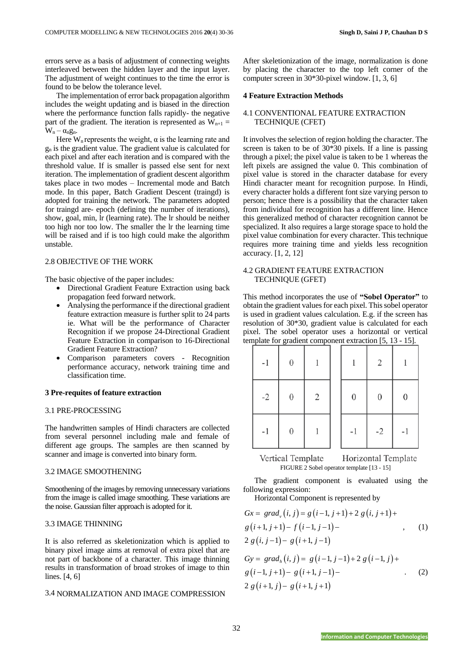errors serve as a basis of adjustment of connecting weights interleaved between the hidden layer and the input layer. The adjustment of weight continues to the time the error is found to be below the tolerance level.

The implementation of error back propagation algorithm includes the weight updating and is biased in the direction where the performance function falls rapidly- the negative part of the gradient. The iteration is represented as  $W_{n+1}$  =  $W_n - \alpha_n g_n$ .

Here  $W_n$  represents the weight,  $\alpha$  is the learning rate and  $g_n$  is the gradient value. The gradient value is calculated for each pixel and after each iteration and is compared with the threshold value. If is smaller is passed else sent for next iteration. The implementation of gradient descent algorithm takes place in two modes – Incremental mode and Batch mode. In this paper, Batch Gradient Descent (traingd) is adopted for training the network. The parameters adopted for traingd are- epoch (defining the number of iterations), show, goal, min, lr (learning rate). The lr should be neither too high nor too low. The smaller the lr the learning time will be raised and if is too high could make the algorithm unstable.

# 2.8 OBJECTIVE OF THE WORK

The basic objective of the paper includes:

- Directional Gradient Feature Extraction using back propagation feed forward network.
- Analysing the performance if the directional gradient feature extraction measure is further split to 24 parts ie. What will be the performance of Character Recognition if we propose 24-Directional Gradient Feature Extraction in comparison to 16-Directional Gradient Feature Extraction?
- Comparison parameters covers Recognition performance accuracy, network training time and classification time.

#### **3 Pre-requites of feature extraction**

#### 3.1 PRE-PROCESSING

The handwritten samples of Hindi characters are collected from several personnel including male and female of different age groups. The samples are then scanned by scanner and image is converted into binary form.

# 3.2 IMAGE SMOOTHENING

Smoothening of the images by removing unnecessary variations from the image is called image smoothing. These variations are the noise. Gaussian filter approach is adopted for it.

## 3.3 IMAGE THINNING

It is also referred as skeletionization which is applied to binary pixel image aims at removal of extra pixel that are not part of backbone of a character. This image thinning results in transformation of broad strokes of image to thin lines. [4, 6]

#### 3.4 NORMALIZATION AND IMAGE COMPRESSION

After skeletionization of the image, normalization is done by placing the character to the top left corner of the computer screen in 30\*30-pixel window. [1, 3, 6]

#### **4 Feature Extraction Methods**

# 4.1 CONVENTIONAL FEATURE EXTRACTION TECHNIQUE (CFET)

It involves the selection of region holding the character. The screen is taken to be of 30\*30 pixels. If a line is passing through a pixel; the pixel value is taken to be 1 whereas the left pixels are assigned the value 0. This combination of pixel value is stored in the character database for every Hindi character meant for recognition purpose. In Hindi, every character holds a different font size varying person to person; hence there is a possibility that the character taken from individual for recognition has a different line. Hence this generalized method of character recognition cannot be specialized. It also requires a large storage space to hold the pixel value combination for every character. This technique requires more training time and yields less recognition accuracy. [1, 2, 12]

# 4.2 GRADIENT FEATURE EXTRACTION TECHNIQUE (GFET)

This method incorporates the use of **"Sobel Operator"** to obtain the gradient values for each pixel. This sobel operator is used in gradient values calculation. E.g. if the screen has resolution of 30\*30, gradient value is calculated for each pixel. The sobel operator uses a horizontal or vertical template for gradient component extraction [5, 13 - 15].

| $-1$ | $\boldsymbol{0}$ |   |                  | 2                |                  |
|------|------------------|---|------------------|------------------|------------------|
| $-2$ | $\boldsymbol{0}$ | 2 | $\boldsymbol{0}$ | $\boldsymbol{0}$ | $\boldsymbol{0}$ |
| $-1$ | $\boldsymbol{0}$ |   | $-1$             | $-2$             | $-1$             |

Vertical Template Horizontal Template FIGURE 2 Sobel operator template [13 - 15]

The gradient component is evaluated using the following expression:

Horizontal Component is represented by  
\n
$$
Gx = grad_{v}(i, j) = g(i-1, j+1) + 2 g(i, j+1) + g(i+1, j+1) - f(i-1, j-1) - g(i+1, j-1)
$$
\n(1)

$$
Gy = gradh(i, j) = g(i-1, j-1) + 2 g(i-1, j) + g(i-1, j+1) - g(i+1, j-1) - 2 g(i+1, j) - g(i+1, j+1)
$$
\n(2)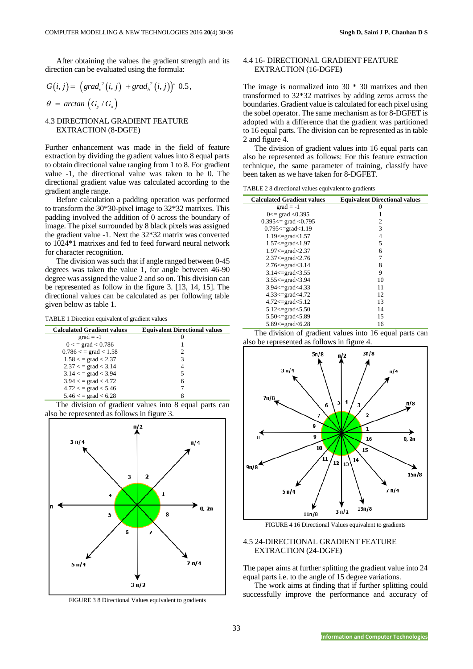After obtaining the values the gradient strength and its direction can be evaluated using the formula:

$$
G(i, j) = \left(\text{grad}_v^2(i, j) + \text{grad}_h^2(i, j)\right)^\wedge 0.5,
$$
  

$$
\theta = \arctan\left(G_v/G_v\right)
$$

4.3 DIRECTIONAL GRADIENT FEATURE EXTRACTION (8-DGFE)

Further enhancement was made in the field of feature extraction by dividing the gradient values into 8 equal parts to obtain directional value ranging from 1 to 8. For gradient value -1, the directional value was taken to be 0. The directional gradient value was calculated according to the gradient angle range.

Before calculation a padding operation was performed to transform the 30\*30-pixel image to 32\*32 matrixes. This padding involved the addition of 0 across the boundary of image. The pixel surrounded by 8 black pixels was assigned the gradient value -1. Next the 32\*32 matrix was converted to 1024\*1 matrixes and fed to feed forward neural network for character recognition.

The division was such that if angle ranged between 0-45 degrees was taken the value 1, for angle between 46-90 degree was assigned the value 2 and so on. This division can be represented as follow in the figure 3. [13, 14, 15]. The directional values can be calculated as per following table given below as table 1.

TABLE 1 Direction equivalent of gradient values

| <b>Calculated Gradient values</b> | <b>Equivalent Directional values</b> |
|-----------------------------------|--------------------------------------|
| $grad = -1$                       |                                      |
| $0 \le$ = grad $\le$ 0.786        |                                      |
| $0.786 \le$ = grad $\le$ 1.58     |                                      |
| $1.58 <$ = grad < 2.37            | 3                                    |
| $2.37 <$ = grad $< 3.14$          | 4                                    |
| $3.14 <$ = grad $<$ 3.94          | 5                                    |
| $3.94 <$ = grad < 4.72            | 6                                    |
| $4.72 <$ = grad $< 5.46$          |                                      |
| $5.46 <$ = grad $< 6.28$          |                                      |

The division of gradient values into 8 equal parts can also be represented as follows in figure 3.



FIGURE 3 8 Directional Values equivalent to gradients

# 4.4 16- DIRECTIONAL GRADIENT FEATURE EXTRACTION (16-DGFE**)**

The image is normalized into 30 \* 30 matrixes and then transformed to 32\*32 matrixes by adding zeros across the boundaries. Gradient value is calculated for each pixel using the sobel operator. The same mechanism as for 8-DGFET is adopted with a difference that the gradient was partitioned to 16 equal parts. The division can be represented as in table 2 and figure 4.

The division of gradient values into 16 equal parts can also be represented as follows: For this feature extraction technique, the same parameter of training, classify have been taken as we have taken for 8-DGFET.

TABLE 2 8 directional values equivalent to gradients

| <b>Calculated Gradient values</b> | <b>Equivalent Directional values</b> |
|-----------------------------------|--------------------------------------|
| $grad = -1$                       | $\theta$                             |
| $0 \le$ grad $\le 0.395$          | 1                                    |
| $0.395 ==$ grad < 0.795           | 2                                    |
| $0.795 \leq$ grad $< 1.19$        | 3                                    |
| $1.19 < = \text{grad} < 1.57$     | 4                                    |
| $1.57 < = \text{grad} < 1.97$     | 5                                    |
| $1.97 \leq$ =grad $< 2.37$        | 6                                    |
| $2.37 < = \text{grad} < 2.76$     | 7                                    |
| $2.76 \leq$ grad $<$ 3.14         | 8                                    |
| $3.14 \leq$ grad $< 3.55$         | 9                                    |
| $3.55 \le$ = grad $<$ 3.94        | 10                                   |
| $3.94 \le$ = grad $< 4.33$        | 11                                   |
| $4.33 \le$ grad $< 4.72$          | 12                                   |
| $4.72 \leq$ grad $< 5.12$         | 13                                   |
| $5.12 \leq$ grad $< 5.50$         | 14                                   |
| 5.50 $\le$ grad $<$ 5.89          | 15                                   |
| $5.89 \leq$ grad $< 6.28$         | 16                                   |

The division of gradient values into 16 equal parts can also be represented as follows in figure 4.



FIGURE 4 16 Directional Values equivalent to gradients

# 4.5 24-DIRECTIONAL GRADIENT FEATURE EXTRACTION (24-DGFE**)**

The paper aims at further splitting the gradient value into 24 equal parts i.e. to the angle of 15 degree variations.

The work aims at finding that if further splitting could successfully improve the performance and accuracy of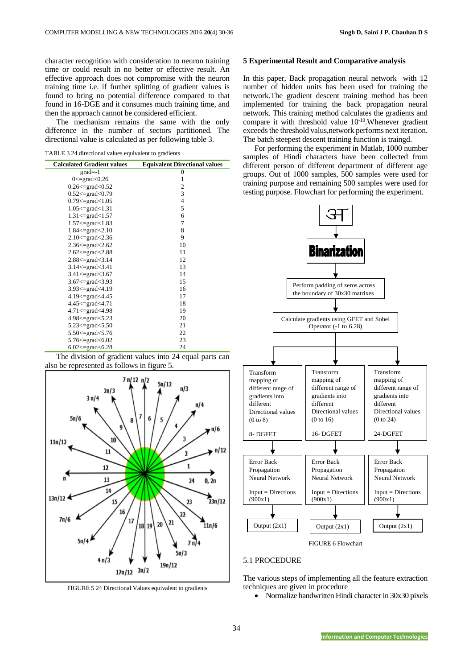character recognition with consideration to neuron training time or could result in no better or effective result. An effective approach does not compromise with the neuron training time i.e. if further splitting of gradient values is found to bring no potential difference compared to that found in 16-DGE and it consumes much training time, and then the approach cannot be considered efficient.

The mechanism remains the same with the only difference in the number of sectors partitioned. The directional value is calculated as per following table 3.

TABLE 3 24 directional values equivalent to gradients

| <b>Calculated Gradient values</b> | <b>Equivalent Directional values</b> |
|-----------------------------------|--------------------------------------|
| $grad=-1$                         | $\overline{0}$                       |
| $0 \leq$ =grad $\leq 0.26$        | 1                                    |
| $0.26 \leq$ grad $< 0.52$         | 2                                    |
| $0.52 < = grad < 0.79$            | 3                                    |
| $0.79 < = \text{grad} < 1.05$     | $\overline{4}$                       |
| $1.05 \leq$ =grad $< 1.31$        | 5                                    |
| $1.31 < = \text{grad} < 1.57$     | 6                                    |
| $1.57 < = grad < 1.83$            | 7                                    |
| $1.84 \leq$ grad $< 2.10$         | 8                                    |
| $2.10 < = \text{grad} < 2.36$     | 9                                    |
| $2.36 \leq$ =grad $< 2.62$        | 10                                   |
| $2.62 \leq$ grad $\leq 2.88$      | 11                                   |
| $2.88 \leq$ grad $<$ 3.14         | 12                                   |
| $3.14 < = \text{grad} < 3.41$     | 13                                   |
| $3.41 < = \text{grad} < 3.67$     | 14                                   |
| $3.67 \leq$ grad $<$ 3.93         | 15                                   |
| $3.93 \leq$ grad $< 4.19$         | 16                                   |
| $4.19 < = \text{grad} < 4.45$     | 17                                   |
| 4.45<=grad<4.71                   | 18                                   |
| $4.71 < = \text{grad} < 4.98$     | 19                                   |
| $4.98 \leq \text{grad} < 5.23$    | 20                                   |
| $5.23 \le$ = grad $< 5.50$        | 21                                   |
| 5.50 $\le$ =grad $\le$ 5.76       | 22                                   |
| 5.76 $\leq$ =grad $\leq 6.02$     | 23                                   |
| $6.02 \leq$ grad $< 6.28$         | 24                                   |

The division of gradient values into 24 equal parts can also be represented as follows in figure 5.



FIGURE 5 24 Directional Values equivalent to gradients

# **5 Experimental Result and Comparative analysis**

In this paper, Back propagation neural network with 12 number of hidden units has been used for training the network.The gradient descent training method has been implemented for training the back propagation neural network. This training method calculates the gradients and compare it with threshold value  $10^{-10}$ . Whenever gradient exceeds the threshold valus,network performs next iteration. The batch steepest descent training function is traingd.

For performing the experiment in Matlab, 1000 number samples of Hindi characters have been collected from different person of different department of different age groups. Out of 1000 samples, 500 samples were used for training purpose and remaining 500 samples were used for testing purpose. Flowchart for performing the experiment.



#### 5.1 PROCEDURE

The various steps of implementing all the feature extraction techniques are given in procedure

• Normalize handwritten Hindi character in 30x30 pixels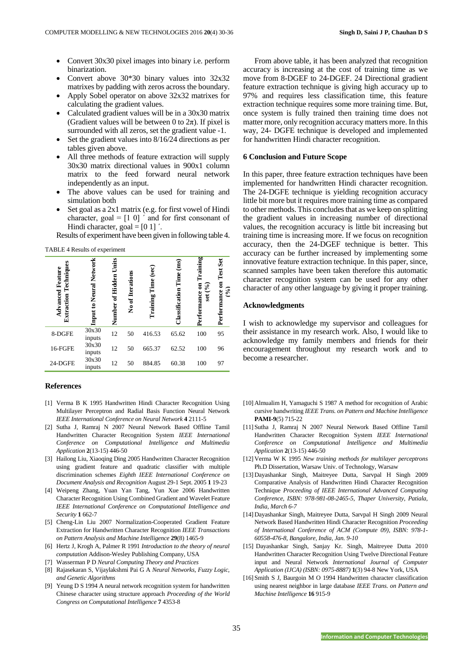- Convert 30x30 pixel images into binary i.e. perform binarization.
- Convert above 30\*30 binary values into 32x32 matrixes by padding with zeros across the boundary.
- Apply Sobel operator on above 32x32 matrixes for calculating the gradient values.
- Calculated gradient values will be in a 30x30 matrix (Gradient values will be between 0 to  $2\pi$ ). If pixel is surrounded with all zeros, set the gradient value -1.
- Set the gradient values into 8/16/24 directions as per tables given above.
- All three methods of feature extraction will supply 30x30 matrix directional values in 900x1 column matrix to the feed forward neural network independently as an input.
- The above values can be used for training and simulation both
- Set goal as a 2x1 matrix (e.g. for first vowel of Hindi character, goal =  $[1 \ 0]$  ' and for first consonant of Hindi character, goal  $=[0 1]'$ .

Results of experiment have been given in following table 4.

TABLE 4 Results of experiment

| Techniques<br><b>Advanced Feature</b><br>Extraction | to Neural Network<br>Input | Units<br>Hidden<br>ัธ<br>Number | No of Iterations | Training Time (sec) | $\mathbf{ms}$<br>Time<br>Classification | Performance on Training<br>set $(\%)$ | Test Set<br>$\mathcal{S}_{\bullet}$<br>Performance |
|-----------------------------------------------------|----------------------------|---------------------------------|------------------|---------------------|-----------------------------------------|---------------------------------------|----------------------------------------------------|
| 8-DGFE                                              | 30x30<br>inputs            | 12                              | 50               | 416.53              | 65.62                                   | 100                                   | 95                                                 |
| 16-FGFE                                             | 30x30<br>inputs            | 12                              | 50               | 665.37              | 62.52                                   | 100                                   | 96                                                 |
| 24-DGFE                                             | 30x30<br>inputs            | 12                              | 50               | 884.85              | 60.38                                   | 100                                   | 97                                                 |

#### **References**

- [1] Verma B K 1995 Handwritten Hindi Character Recognition Using Multilayer Perceptron and Radial Basis Function Neural Network *IEEE International Conference on Neural Network* **4** 2111-5
- [2] Sutha J, Ramraj N 2007 Neural Network Based Offline Tamil Handwritten Character Recognition System *IEEE International Conference on Computational Intelligence and Multimedia Application* **2**(13-15) 446-50
- [3] Hailong Liu, Xiaoqing Ding 2005 Handwritten Character Recognition using gradient feature and quadratic classifier with multiple discrimination schemes *Eighth IEEE International Conference on Document Analysis and Recognition* August 29-1 Sept. 2005 **1** 19-23
- [4] Weipeng Zhang, Yuan Yan Tang, Yun Xue 2006 Handwritten Character Recognition Using Combined Gradient and Wavelet Feature *IEEE International Conference on Computational Intelligence and Security* **1** 662-7
- [5] Cheng-Lin Liu 2007 Normalization-Cooperated Gradient Feature Extraction for Handwritten Character Recognition *IEEE Transactions on Pattern Analysis and Machine Intelligence* **29**(8) 1465-9
- [6] Hertz J, Krogh A, Palmer R 1991 *Introduction to the theory of neural computation* Addison-Wesley Publishing Company, USA
- [7] Wasserman P D *Neural Computing Theory and Practices*
- [8] Rajasekaran S, Vijaylakshmi Pai G A *Neural Networks, Fuzzy Logic, and Genetic Algorithms*
- [9] Yeung D S 1994 A neural network recognition system for handwritten Chinese character using structure approach *Proceeding of the World Congress on Computational Intelligence* **7** 4353-8

From above table, it has been analyzed that recognition accuracy is increasing at the cost of training time as we move from 8-DGEF to 24-DGEF. 24 Directional gradient feature extraction technique is giving high accuracy up to 97% and requires less classification time, this feature extraction technique requires some more training time. But, once system is fully trained then training time does not matter more, only recognition accuracy matters more. In this way, 24- DGFE technique is developed and implemented for handwritten Hindi character recognition.

# **6 Conclusion and Future Scope**

In this paper, three feature extraction techniques have been implemented for handwritten Hindi character recognition. The 24-DGFE technique is yielding recognition accuracy little bit more but it requires more training time as compared to other methods. This concludes that as we keep on splitting the gradient values in increasing number of directional values, the recognition accuracy is little bit increasing but training time is increasing more. If we focus on recognition accuracy, then the 24-DGEF technique is better. This accuracy can be further increased by implementing some innovative feature extraction technique. In this paper, since, scanned samples have been taken therefore this automatic character recognition system can be used for any other character of any other language by giving it proper training.

# **Acknowledgments**

I wish to acknowledge my supervisor and colleagues for their assistance in my research work. Also, I would like to acknowledge my family members and friends for their encouragement throughout my research work and to become a researcher.

- [10] Almualim H, Yamaguchi S 1987 A method for recognition of Arabic cursive handwriting *IEEE Trans. on Pattern and Machine Intelligence* **PAMI-9**(5) 715-22
- [11] Sutha J, Ramraj N 2007 Neural Network Based Offline Tamil Handwritten Character Recognition System *IEEE International Conference on Computational Intelligence and Multimedia Application* **2**(13-15) 446-50
- [12] Verma W K 1995 *New training methods for multilayer perceptrons* Ph.D Dissertation, Warsaw Univ. of Technology, Warsaw
- [13] Dayashankar Singh, Maitreyee Dutta, Sarvpal H Singh 2009 Comparative Analysis of Handwritten Hindi Character Recognition Technique *Proceeding of IEEE International Advanced Computing Conference, ISBN: 978-981-08-2465-5, Thaper University, Patiala, India, March 6-7*
- [14] Dayashankar Singh, Maitreyee Dutta, Sarvpal H Singh 2009 Neural Network Based Handwritten Hindi Character Recognition *Proceeding of International Conference of ACM (Compute 09), ISBN: 978-1- 60558-476-8, Bangalore, India, Jan. 9-10*
- [15] Dayashankar Singh, Sanjay Kr. Singh, Maitreyee Dutta 2010 Handwritten Character Recognition Using Twelve Directional Feature input and Neural Network *International Journal of Computer Application (IJCA) (ISBN: 0975-8887)* **1**(3) 94-8 New York, USA
- [16] Smith S J, Baurgoin M O 1994 Handwritten character classification using nearest neighbor in large database *IEEE Trans. on Pattern and Machine Intelligence* **16** 915-9